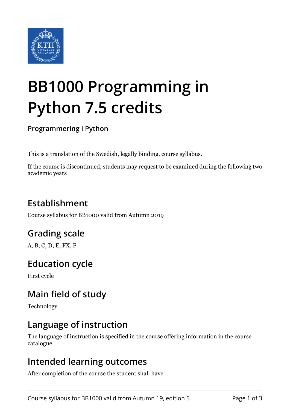

# **BB1000 Programming in Python 7.5 credits**

#### **Programmering i Python**

This is a translation of the Swedish, legally binding, course syllabus.

If the course is discontinued, students may request to be examined during the following two academic years

# **Establishment**

Course syllabus for BB1000 valid from Autumn 2019

# **Grading scale**

A, B, C, D, E, FX, F

## **Education cycle**

First cycle

## **Main field of study**

Technology

## **Language of instruction**

The language of instruction is specified in the course offering information in the course catalogue.

#### **Intended learning outcomes**

After completion of the course the student shall have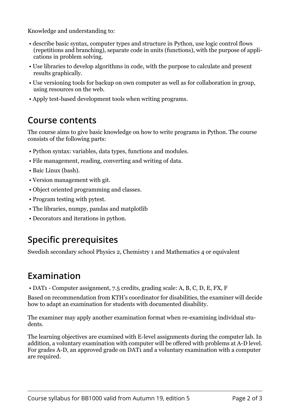Knowledge and understanding to:

- describe basic syntax, computer types and structure in Python, use logic control flows (repetitions and branching), separate code in units (functions), with the purpose of applications in problem solving.
- Use libraries to develop algorithms in code, with the purpose to calculate and present results graphically.
- Use versioning tools for backup on own computer as well as for collaboration in group, using resources on the web.
- Apply test-based development tools when writing programs.

## **Course contents**

The course aims to give basic knowledge on how to write programs in Python. The course consists of the following parts:

- Python syntax: variables, data types, functions and modules.
- File management, reading, converting and writing of data.
- Baic Linux (bash).
- Version management with git.
- Object oriented programming and classes.
- Program testing with pytest.
- The libraries, numpy, pandas and matplotlib
- Decorators and iterations in python.

# **Specific prerequisites**

Swedish secondary school Physics 2, Chemistry 1 and Mathematics 4 or equivalent

# **Examination**

• DAT1 - Computer assignment, 7.5 credits, grading scale: A, B, C, D, E, FX, F

Based on recommendation from KTH's coordinator for disabilities, the examiner will decide how to adapt an examination for students with documented disability.

The examiner may apply another examination format when re-examining individual students.

The learning objectives are examined with E-level assignments during the computer lab. In addition, a voluntary examination with computer will be offered with problems at A-D level. For grades A-D, an approved grade on DAT1 and a voluntary examination with a computer are required.